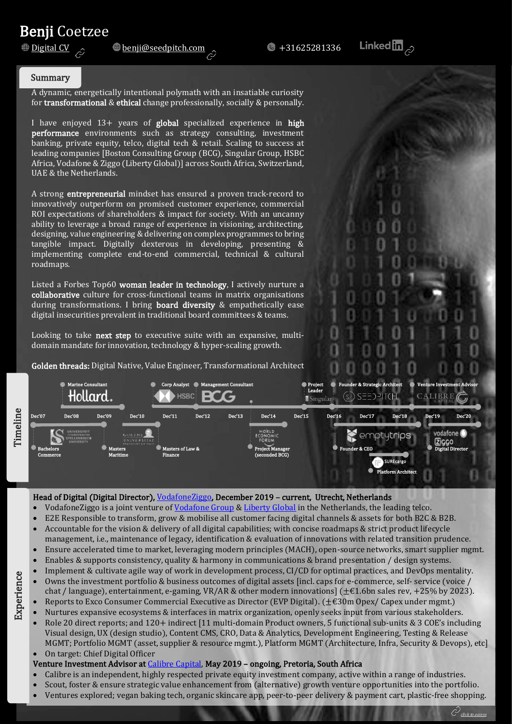# **Benji Coetzee**<br><u>**Digital CV** 2</u>



#### Summary

A dynamic, energetically intentional polymath with an insatiable curiosity for **transformational** & **ethical** change professionally, socially & personally.

Africa, Vodafone & Ziggo (Liberty Global)] across South Africa, Switzerland, I have enjoyed 13+ years of global specialized experience in high performance environments such as strategy consulting, investment banking, private equity, telco, digital tech & retail. Scaling to success at leading companies [Boston Consulting Group (BCG), Singular Group, HSBC UAE & the Netherlands.

A strong entrepreneurial mindset has ensured a proven track-record to innovatively outperform on promised customer experience, commercial ROI expectations of shareholders & impact for society. With an uncanny ability to leverage a broad range of experience in visioning, architecting, designing, value engineering & delivering on complex programmes to bring tangible impact. Digitally dexterous in developing, presenting & implementing complete end-to-end commercial, technical & cultural roadmaps.

Listed a Forbes Top60 woman leader in technology, I actively nurture a collaborative culture for cross-functional teams in matrix organisations during transformations. I bring board diversity & empathetically ease digital insecurities prevalent in traditional board committees & teams.

Looking to take next step to executive suite with an expansive, multidomain mandate for innovation, technology & hyper-scaling growth.

Golden threads: Digital Native, Value Engineer, Transformational Architect



### Head of Digital (Digital Director)[, VodafoneZiggo,](https://www.vodafoneziggo.nl/) December 2019 - current, Utrecht, Netherlands

- VodafoneZiggo is a joint venture of [Vodafone Group](https://www.vodafone.com/) & [Liberty Global](https://www.libertyglobal.com/) in the Netherlands, the leading telco.
- E2E Responsible to transform, grow & mobilise all customer facing digital channels & assets for both B2C & B2B.
- Accountable for the vision & delivery of all digital capabilities; with concise roadmaps & strict product lifecycle management, i.e., maintenance of legacy, identification & evaluation of innovations with related transition prudence.
- Ensure accelerated time to market, leveraging modern principles (MACH), open-source networks, smart supplier mgmt.
- Enables & supports consistency, quality & harmony in communications & brand presentation / design systems.
- Implement & cultivate agile way of work in development process, CI/CD for optimal practices, and DevOps mentality.
- Owns the investment portfolio & business outcomes of digital assets [incl. caps for e-commerce, self- service (voice / chat / language), entertainment, e-gaming, VR/AR & other modern innovations] ( $\pm \epsilon$ 1.6bn sales rev, +25% by 2023).
- Reports to Exco Consumer Commercial Executive as Director (EVP Digital). (±€30m Opex/ Capex under mgmt.)
- Nurtures expansive ecosystems & interfaces in matrix organization, openly seeks input from various stakeholders. Role 20 direct reports; and 120+ indirect [11 multi-domain Product owners, 5 functional sub-units & 3 COE's including Visual design, UX (design studio), Content CMS, CRO, Data & Analytics, Development Engineering, Testing & Release MGMT; Portfolio MGMT (asset, supplier & resource mgmt.), Platform MGMT (Architecture, Infra, Security & Devops), etc]
- On target: Chief Digital Officer

# Venture Investment Advisor at [Calibre Capital,](https://www.calibrecapital.co/) May 2019 – ongoing, Pretoria, South Africa

- Calibre is an independent, highly respected private equity investment company, active within a range of industries.
- Scout, foster & ensure strategic value enhancement from (alternative) growth venture opportunities into the portfolio. • Ventures explored; vegan baking tech, organic skincare app, peer-to-peer delivery & payment cart, plastic-free shopping.
	- click to access